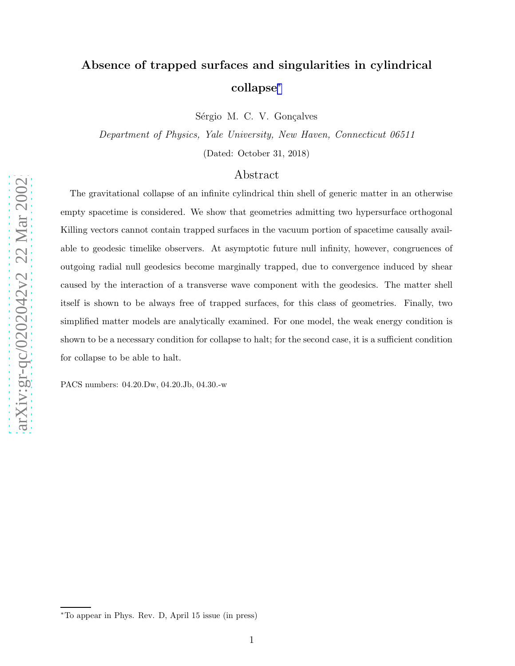# Absence of trapped surfaces and singularities in cylindrical collapse ∗

Sérgio M. C. V. Gonçalves

Department of Physics, Yale University, New Haven, Connecticut 06511

(Dated: October 31, 2018)

## Abstract

The gravitational collapse of an infinite cylindrical thin shell of generic matter in an otherwise empty spacetime is considered. We show that geometries admitting two hypersurface orthogonal Killing vectors cannot contain trapped surfaces in the vacuum portion of spacetime causally available to geodesic timelike observers. At asymptotic future null infinity, however, congruences of outgoing radial null geodesics become marginally trapped, due to convergence induced by shear caused by the interaction of a transverse wave component with the geodesics. The matter shell itself is shown to be always free of trapped surfaces, for this class of geometries. Finally, two simplified matter models are analytically examined. For one model, the weak energy condition is shown to be a necessary condition for collapse to halt; for the second case, it is a sufficient condition for collapse to be able to halt.

PACS numbers: 04.20.Dw, 04.20.Jb, 04.30.-w

<sup>∗</sup>To appear in Phys. Rev. D, April 15 issue (in press)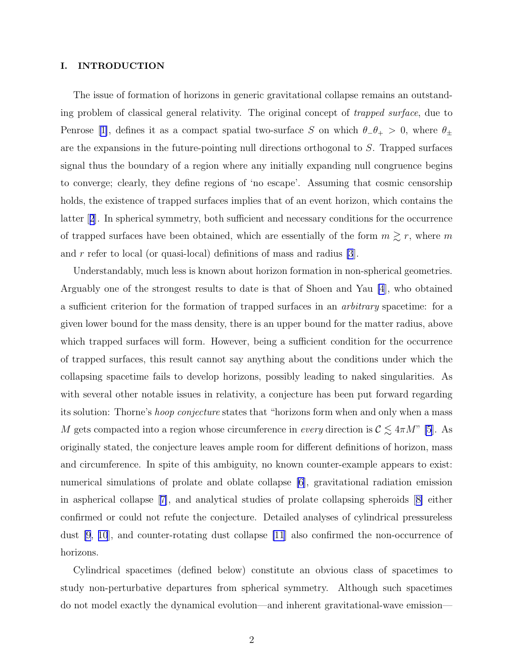### I. INTRODUCTION

The issue of formation of horizons in generic gravitational collapse remains an outstanding problem of classical general relativity. The original concept of trapped surface, due to Penrose[[1\]](#page-23-0), defines it as a compact spatial two-surface S on which  $\theta_-\theta_+ > 0$ , where  $\theta_{\pm}$ are the expansions in the future-pointing null directions orthogonal to S. Trapped surfaces signal thus the boundary of a region where any initially expanding null congruence begins to converge; clearly, they define regions of 'no escape'. Assuming that cosmic censorship holds, the existence of trapped surfaces implies that of an event horizon, which contains the latter[[2](#page-23-0)]. In spherical symmetry, both sufficient and necessary conditions for the occurrence of trapped surfaces have been obtained, which are essentially of the form  $m \gtrsim r$ , where m and  $r$  refer to local (or quasi-local) definitions of mass and radius [\[3](#page-23-0)].

Understandably, much less is known about horizon formation in non-spherical geometries. Arguably one of the strongest results to date is that of Shoen and Yau [\[4](#page-23-0)], who obtained a sufficient criterion for the formation of trapped surfaces in an arbitrary spacetime: for a given lower bound for the mass density, there is an upper bound for the matter radius, above which trapped surfaces will form. However, being a sufficient condition for the occurrence of trapped surfaces, this result cannot say anything about the conditions under which the collapsing spacetime fails to develop horizons, possibly leading to naked singularities. As with several other notable issues in relativity, a conjecture has been put forward regarding its solution: Thorne's *hoop conjecture* states that "horizons form when and only when a mass M gets compacted into a region whose circumference in every direction is  $C \lesssim 4\pi M$ " [\[5](#page-23-0)]. As originally stated, the conjecture leaves ample room for different definitions of horizon, mass and circumference. In spite of this ambiguity, no known counter-example appears to exist: numerical simulations of prolate and oblate collapse [\[6](#page-23-0)], gravitational radiation emission in aspherical collapse[[7\]](#page-23-0), and analytical studies of prolate collapsing spheroids[[8\]](#page-23-0) either confirmed or could not refute the conjecture. Detailed analyses of cylindrical pressureless dust [\[9](#page-23-0), [10](#page-23-0)], and counter-rotating dust collapse [\[11](#page-23-0)] also confirmed the non-occurrence of horizons.

Cylindrical spacetimes (defined below) constitute an obvious class of spacetimes to study non-perturbative departures from spherical symmetry. Although such spacetimes do not model exactly the dynamical evolution—and inherent gravitational-wave emission—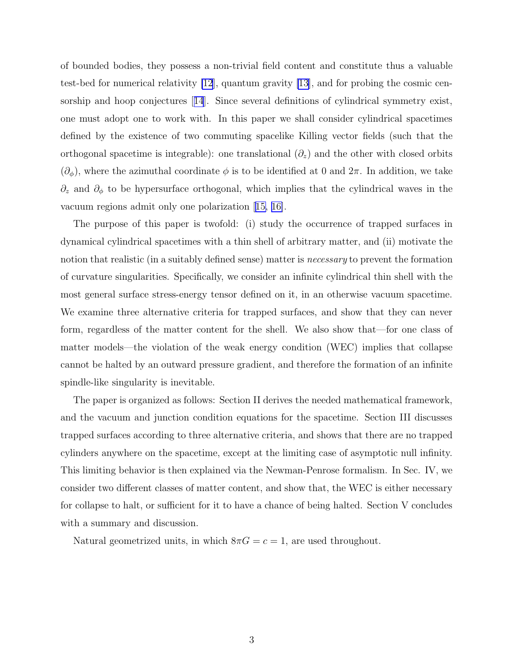of bounded bodies, they possess a non-trivial field content and constitute thus a valuable test-bed for numerical relativity [\[12](#page-23-0)], quantum gravity [\[13\]](#page-23-0), and for probing the cosmic censorship and hoop conjectures[[14](#page-23-0)]. Since several definitions of cylindrical symmetry exist, one must adopt one to work with. In this paper we shall consider cylindrical spacetimes defined by the existence of two commuting spacelike Killing vector fields (such that the orthogonal spacetime is integrable): one translational  $(\partial_z)$  and the other with closed orbits  $(\partial_{\phi})$ , where the azimuthal coordinate  $\phi$  is to be identified at 0 and  $2\pi$ . In addition, we take  $\partial_z$  and  $\partial_{\phi}$  to be hypersurface orthogonal, which implies that the cylindrical waves in the vacuum regions admit only one polarization[[15, 16\]](#page-23-0).

The purpose of this paper is twofold: (i) study the occurrence of trapped surfaces in dynamical cylindrical spacetimes with a thin shell of arbitrary matter, and (ii) motivate the notion that realistic (in a suitably defined sense) matter is *necessary* to prevent the formation of curvature singularities. Specifically, we consider an infinite cylindrical thin shell with the most general surface stress-energy tensor defined on it, in an otherwise vacuum spacetime. We examine three alternative criteria for trapped surfaces, and show that they can never form, regardless of the matter content for the shell. We also show that—for one class of matter models—the violation of the weak energy condition (WEC) implies that collapse cannot be halted by an outward pressure gradient, and therefore the formation of an infinite spindle-like singularity is inevitable.

The paper is organized as follows: Section II derives the needed mathematical framework, and the vacuum and junction condition equations for the spacetime. Section III discusses trapped surfaces according to three alternative criteria, and shows that there are no trapped cylinders anywhere on the spacetime, except at the limiting case of asymptotic null infinity. This limiting behavior is then explained via the Newman-Penrose formalism. In Sec. IV, we consider two different classes of matter content, and show that, the WEC is either necessary for collapse to halt, or sufficient for it to have a chance of being halted. Section V concludes with a summary and discussion.

Natural geometrized units, in which  $8\pi G = c = 1$ , are used throughout.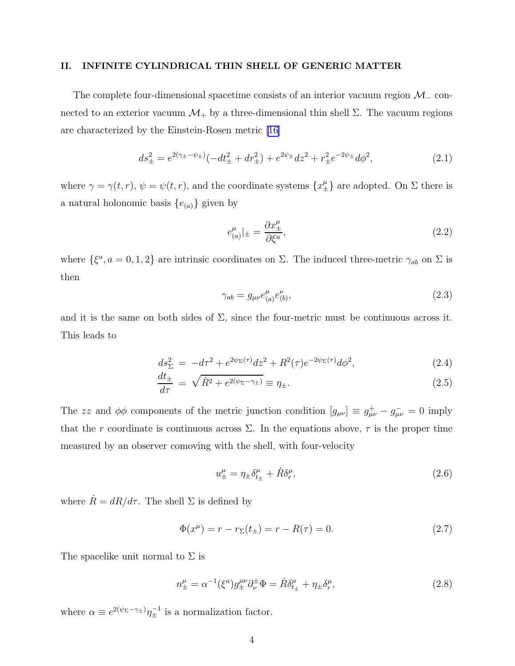#### <span id="page-3-0"></span>II. INFINITE CYLINDRICAL THIN SHELL OF GENERIC MATTER

The complete four-dimensional spacetime consists of an interior vacuum region  $\mathcal{M}_-$  connected to an exterior vacuum  $\mathcal{M}_+$  by a three-dimensional thin shell Σ. The vacuum regions are characterized by the Einstein-Rosen metric [\[16\]](#page-23-0)

$$
ds_{\pm}^2 = e^{2(\gamma_{\pm} - \psi_{\pm})}(-dt_{\pm}^2 + dr_{\pm}^2) + e^{2\psi_{\pm}}dz^2 + r_{\pm}^2e^{-2\psi_{\pm}}d\phi^2, \tag{2.1}
$$

where  $\gamma = \gamma(t, r)$ ,  $\psi = \psi(t, r)$ , and the coordinate systems  $\{x_{\pm}^{\mu}\}\$ are adopted. On  $\Sigma$  there is a natural holonomic basis  $\{e_{(a)}\}$  given by

$$
e_{(a)}^{\mu}|_{\pm} = \frac{\partial x_{\pm}^{\mu}}{\partial \xi^{a}},\tag{2.2}
$$

where  $\{\xi^a, a = 0, 1, 2\}$  are intrinsic coordinates on  $\Sigma$ . The induced three-metric  $\gamma_{ab}$  on  $\Sigma$  is then

$$
\gamma_{ab} = g_{\mu\nu} e_{(a)}^{\mu} e_{(b)}^{\nu}, \tag{2.3}
$$

and it is the same on both sides of  $\Sigma$ , since the four-metric must be continuous across it. This leads to

$$
ds_{\Sigma}^{2} = -d\tau^{2} + e^{2\psi_{\Sigma}(\tau)}dz^{2} + R^{2}(\tau)e^{-2\psi_{\Sigma}(\tau)}d\phi^{2}, \qquad (2.4)
$$

$$
\frac{dt_{\pm}}{d\tau} = \sqrt{\dot{R}^2 + e^{2(\psi_{\Sigma} - \gamma_{\pm})}} \equiv \eta_{\pm}.
$$
\n(2.5)

The zz and  $\phi\phi$  components of the metric junction condition  $[g_{\mu\nu}] \equiv g_{\mu\nu}^+ - g_{\mu\nu}^- = 0$  imply that the r coordinate is continuous across  $\Sigma$ . In the equations above,  $\tau$  is the proper time measured by an observer comoving with the shell, with four-velocity

$$
u^{\mu}_{\pm} = \eta_{\pm} \delta^{\mu}_{t_{\pm}} + \dot{R} \delta^{\mu}_{r}, \qquad (2.6)
$$

where  $\dot{R}=dR/d\tau.$  The shell  $\Sigma$  is defined by

$$
\Phi(x^{\mu}) = r - r_{\Sigma}(t_{\pm}) = r - R(\tau) = 0.
$$
\n(2.7)

The spacelike unit normal to  $\Sigma$  is

$$
n^{\mu}_{\pm} = \alpha^{-1} (\xi^a) g^{\mu\nu}_{\pm} \partial^{\pm}_{\nu} \Phi = \dot{R} \delta^{\mu}_{t_{\pm}} + \eta_{\pm} \delta^{\mu}_{r}, \tag{2.8}
$$

where  $\alpha \equiv e^{2(\psi_{\Sigma} - \gamma_{\pm})} \eta_{\pm}^{-1}$  is a normalization factor.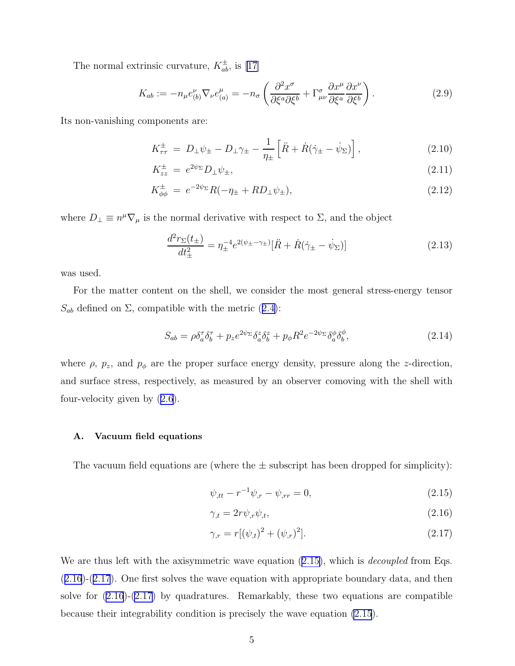<span id="page-4-0"></span>The normal extrinsic curvature,  $K_{ab}^{\pm}$ , is [\[17\]](#page-23-0)

$$
K_{ab} := -n_{\mu}e_{(b)}^{\nu}\nabla_{\nu}e_{(a)}^{\mu} = -n_{\sigma}\left(\frac{\partial^2 x^{\sigma}}{\partial \xi^a \partial \xi^b} + \Gamma^{\sigma}_{\mu\nu}\frac{\partial x^{\mu}}{\partial \xi^a}\frac{\partial x^{\nu}}{\partial \xi^b}\right). \tag{2.9}
$$

Its non-vanishing components are:

$$
K_{\tau\tau}^{\pm} = D_{\perp}\psi_{\pm} - D_{\perp}\gamma_{\pm} - \frac{1}{\eta_{\pm}} \left[ \ddot{R} + \dot{R}(\dot{\gamma}_{\pm} - \dot{\psi}_{\Sigma}) \right], \tag{2.10}
$$

$$
K_{zz}^{\pm} = e^{2\psi_{\Sigma}} D_{\perp} \psi_{\pm}, \tag{2.11}
$$

$$
K_{\phi\phi}^{\pm} = e^{-2\psi_{\Sigma}}R(-\eta_{\pm} + RD_{\perp}\psi_{\pm}), \tag{2.12}
$$

where  $D_{\perp} \equiv n^{\mu} \nabla_{\mu}$  is the normal derivative with respect to  $\Sigma$ , and the object

$$
\frac{d^2r_{\Sigma}(t_{\pm})}{dt_{\pm}^2} = \eta_{\pm}^{-4}e^{2(\psi_{\pm}-\gamma_{\pm})}[\ddot{R} + \dot{R}(\dot{\gamma}_{\pm} - \dot{\psi}_{\Sigma})] \tag{2.13}
$$

was used.

For the matter content on the shell, we consider the most general stress-energy tensor  $S_{ab}$ defined on  $\Sigma$ , compatible with the metric ([2.4\)](#page-3-0):

$$
S_{ab} = \rho \delta_a^{\tau} \delta_b^{\tau} + p_z e^{2\psi_{\Sigma}} \delta_a^z \delta_b^z + p_{\phi} R^2 e^{-2\psi_{\Sigma}} \delta_a^{\phi} \delta_b^{\phi}, \tag{2.14}
$$

where  $\rho$ ,  $p_z$ , and  $p_{\phi}$  are the proper surface energy density, pressure along the z-direction, and surface stress, respectively, as measured by an observer comoving with the shell with four-velocity given by [\(2.6](#page-3-0)).

## A. Vacuum field equations

The vacuum field equations are (where the  $\pm$  subscript has been dropped for simplicity):

$$
\psi_{,tt} - r^{-1}\psi_{,r} - \psi_{,rr} = 0, \tag{2.15}
$$

$$
\gamma_{,t} = 2r\psi_{,r}\psi_{,t},\tag{2.16}
$$

$$
\gamma_{,r} = r[(\psi_{,t})^2 + (\psi_{,r})^2]. \tag{2.17}
$$

We are thus left with the axisymmetric wave equation  $(2.15)$ , which is *decoupled* from Eqs. (2.16)-(2.17). One first solves the wave equation with appropriate boundary data, and then solve for (2.16)-(2.17) by quadratures. Remarkably, these two equations are compatible because their integrability condition is precisely the wave equation (2.15).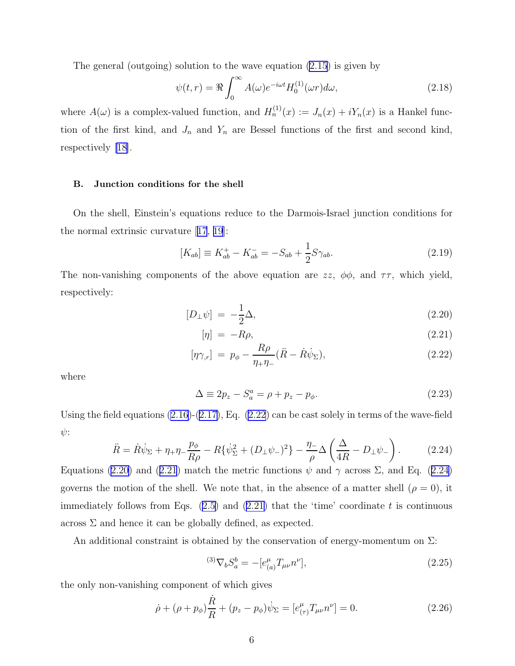<span id="page-5-0"></span>The general (outgoing) solution to the wave equation  $(2.15)$  is given by

$$
\psi(t,r) = \Re \int_0^\infty A(\omega)e^{-i\omega t}H_0^{(1)}(\omega r)d\omega,
$$
\n(2.18)

where  $A(\omega)$  is a complex-valued function, and  $H_n^{(1)}(x) := J_n(x) + iY_n(x)$  is a Hankel function of the first kind, and  $J_n$  and  $Y_n$  are Bessel functions of the first and second kind, respectively [\[18\]](#page-23-0).

#### B. Junction conditions for the shell

On the shell, Einstein's equations reduce to the Darmois-Israel junction conditions for the normal extrinsic curvature[[17](#page-23-0), [19](#page-24-0)]:

$$
[K_{ab}] \equiv K_{ab}^+ - K_{ab}^- = -S_{ab} + \frac{1}{2}S\gamma_{ab}.
$$
 (2.19)

The non-vanishing components of the above equation are  $zz$ ,  $\phi\phi$ , and  $\tau\tau$ , which yield, respectively:

$$
[D_{\perp}\psi] = -\frac{1}{2}\Delta,\tag{2.20}
$$

$$
[\eta] = -R\rho, \tag{2.21}
$$

$$
[\eta \gamma_{,r}] = p_{\phi} - \frac{R\rho}{\eta_{+}\eta_{-}} (\ddot{R} - \dot{R}\dot{\psi}_{\Sigma}), \qquad (2.22)
$$

where

$$
\Delta \equiv 2p_z - S_a^a = \rho + p_z - p_\phi. \tag{2.23}
$$

Using the field equations  $(2.16)-(2.17)$  $(2.16)-(2.17)$ , Eq.  $(2.22)$  can be cast solely in terms of the wave-field  $\psi$ :

$$
\ddot{R} = \dot{R}\dot{\psi}_{\Sigma} + \eta_{+}\eta_{-}\frac{p_{\phi}}{R\rho} - R\{\dot{\psi}_{\Sigma}^{2} + (D_{\perp}\psi_{-})^{2}\} - \frac{\eta_{-}}{\rho}\Delta\left(\frac{\Delta}{4R} - D_{\perp}\psi_{-}\right). \tag{2.24}
$$

Equations (2.20) and (2.21) match the metric functions  $\psi$  and  $\gamma$  across  $\Sigma$ , and Eq. (2.24) governs the motion of the shell. We note that, in the absence of a matter shell  $(\rho = 0)$ , it immediatelyfollows from Eqs.  $(2.5)$  $(2.5)$  and  $(2.21)$  that the 'time' coordinate t is continuous across  $\Sigma$  and hence it can be globally defined, as expected.

An additional constraint is obtained by the conservation of energy-momentum on  $\Sigma$ :

$$
{}^{(3)}\nabla_b S_a^b = -[e_{(a)}^\mu T_{\mu\nu} n^\nu],\tag{2.25}
$$

the only non-vanishing component of which gives

$$
\dot{\rho} + (\rho + p_{\phi})\frac{\dot{R}}{R} + (p_z - p_{\phi})\dot{\psi}_{\Sigma} = [e^{\mu}_{(\tau)}T_{\mu\nu}n^{\nu}] = 0.
$$
 (2.26)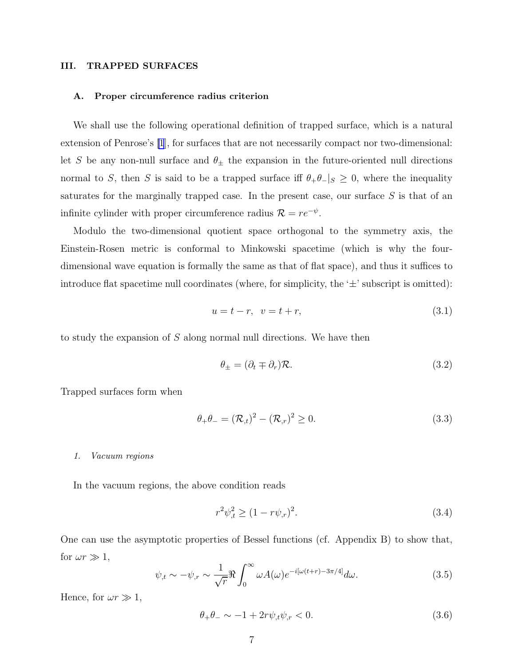### <span id="page-6-0"></span>III. TRAPPED SURFACES

#### A. Proper circumference radius criterion

We shall use the following operational definition of trapped surface, which is a natural extension of Penrose's [\[1](#page-23-0)], for surfaces that are not necessarily compact nor two-dimensional: let S be any non-null surface and  $\theta_{\pm}$  the expansion in the future-oriented null directions normal to S, then S is said to be a trapped surface iff  $\theta_+\theta_-\vert_s\geq 0$ , where the inequality saturates for the marginally trapped case. In the present case, our surface  $S$  is that of an infinite cylinder with proper circumference radius  $\mathcal{R} = re^{-\psi}$ .

Modulo the two-dimensional quotient space orthogonal to the symmetry axis, the Einstein-Rosen metric is conformal to Minkowski spacetime (which is why the fourdimensional wave equation is formally the same as that of flat space), and thus it suffices to introduce flat spacetime null coordinates (where, for simplicity, the  $\pm$ ' subscript is omitted):

$$
u = t - r, \ v = t + r,
$$
\n(3.1)

to study the expansion of S along normal null directions. We have then

$$
\theta_{\pm} = (\partial_t \mp \partial_r)\mathcal{R}.\tag{3.2}
$$

Trapped surfaces form when

$$
\theta_{+}\theta_{-} = (\mathcal{R}_{,t})^{2} - (\mathcal{R}_{,r})^{2} \ge 0.
$$
\n(3.3)

#### 1. Vacuum regions

In the vacuum regions, the above condition reads

$$
r^2 \psi_{,t}^2 \ge (1 - r \psi_{,r})^2. \tag{3.4}
$$

One can use the asymptotic properties of Bessel functions (cf. Appendix B) to show that, for  $\omega r \gg 1$ ,

$$
\psi_{,t} \sim -\psi_{,r} \sim \frac{1}{\sqrt{r}} \Re \int_0^\infty \omega A(\omega) e^{-i[\omega(t+r) - 3\pi/4]} d\omega.
$$
\n(3.5)

Hence, for  $\omega r \gg 1$ ,

$$
\theta_+ \theta_- \sim -1 + 2r \psi_{,t} \psi_{,r} < 0. \tag{3.6}
$$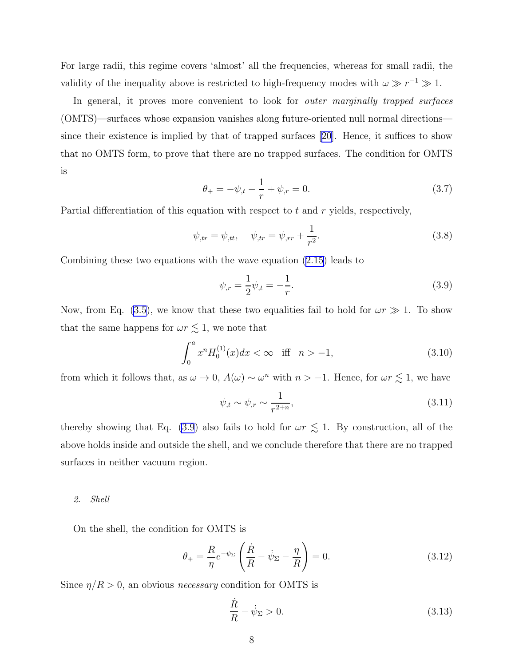For large radii, this regime covers 'almost' all the frequencies, whereas for small radii, the validity of the inequality above is restricted to high-frequency modes with  $\omega \gg r^{-1} \gg 1$ .

In general, it proves more convenient to look for *outer marginally trapped surfaces* (OMTS)—surfaces whose expansion vanishes along future-oriented null normal directions since their existence is implied by that of trapped surfaces[[20](#page-24-0)]. Hence, it suffices to show that no OMTS form, to prove that there are no trapped surfaces. The condition for OMTS is

$$
\theta_{+} = -\psi_{,t} - \frac{1}{r} + \psi_{,r} = 0. \tag{3.7}
$$

Partial differentiation of this equation with respect to t and r yields, respectively,

$$
\psi_{,tr} = \psi_{,tt}, \quad \psi_{,tr} = \psi_{,rr} + \frac{1}{r^2}.
$$
\n(3.8)

Combiningthese two equations with the wave equation  $(2.15)$  $(2.15)$  leads to

$$
\psi_{,r} = \frac{1}{2}\psi_{,t} = -\frac{1}{r}.\tag{3.9}
$$

Now, from Eq. [\(3.5](#page-6-0)), we know that these two equalities fail to hold for  $\omega r \gg 1$ . To show that the same happens for  $\omega r \lesssim 1$ , we note that

$$
\int_0^a x^n H_0^{(1)}(x) dx < \infty \quad \text{iff} \quad n > -1,\tag{3.10}
$$

from which it follows that, as  $\omega \to 0$ ,  $A(\omega) \sim \omega^n$  with  $n > -1$ . Hence, for  $\omega r \lesssim 1$ , we have

$$
\psi_{,t} \sim \psi_{,r} \sim \frac{1}{r^{2+n}},\tag{3.11}
$$

thereby showing that Eq. (3.9) also fails to hold for  $\omega r \lesssim 1$ . By construction, all of the above holds inside and outside the shell, and we conclude therefore that there are no trapped surfaces in neither vacuum region.

#### 2. Shell

On the shell, the condition for OMTS is

$$
\theta_{+} = \frac{R}{\eta} e^{-\psi_{\Sigma}} \left( \frac{\dot{R}}{R} - \dot{\psi}_{\Sigma} - \frac{\eta}{R} \right) = 0. \tag{3.12}
$$

Since  $\eta/R > 0$ , an obvious *necessary* condition for OMTS is

$$
\frac{\dot{R}}{R} - \dot{\psi}_{\Sigma} > 0. \tag{3.13}
$$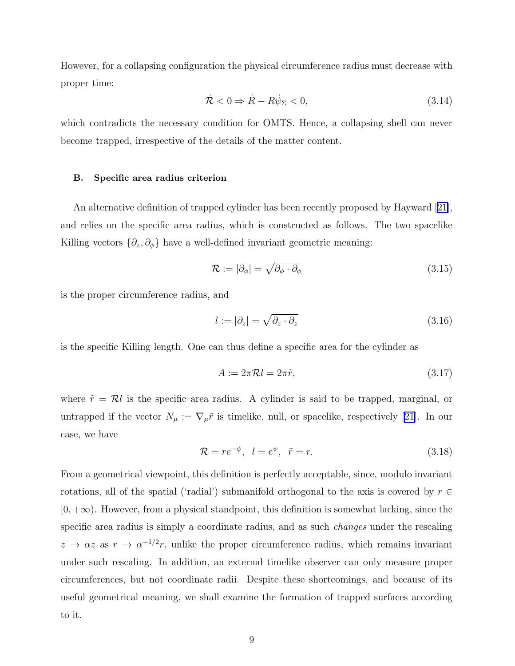However, for a collapsing configuration the physical circumference radius must decrease with proper time:

$$
\dot{\mathcal{R}} < 0 \Rightarrow \dot{R} - R\dot{\psi}_{\Sigma} < 0,\tag{3.14}
$$

which contradicts the necessary condition for OMTS. Hence, a collapsing shell can never become trapped, irrespective of the details of the matter content.

#### B. Specific area radius criterion

An alternative definition of trapped cylinder has been recently proposed by Hayward [\[21\]](#page-24-0), and relies on the specific area radius, which is constructed as follows. The two spacelike Killing vectors  $\{\partial_z, \partial_{\phi}\}\$  have a well-defined invariant geometric meaning:

$$
\mathcal{R} := |\partial_{\phi}| = \sqrt{\partial_{\phi} \cdot \partial_{\phi}}
$$
\n(3.15)

is the proper circumference radius, and

$$
l := |\partial_z| = \sqrt{\partial_z \cdot \partial_z} \tag{3.16}
$$

is the specific Killing length. One can thus define a specific area for the cylinder as

$$
A := 2\pi \mathcal{R}l = 2\pi \tilde{r},\tag{3.17}
$$

where  $\tilde{r} = \mathcal{R}l$  is the specific area radius. A cylinder is said to be trapped, marginal, or untrapped if the vector  $N_{\mu} := \nabla_{\mu} \tilde{r}$  is timelike, null, or spacelike, respectively [\[21\]](#page-24-0). In our case, we have

$$
\mathcal{R} = re^{-\psi}, \quad l = e^{\psi}, \quad \tilde{r} = r. \tag{3.18}
$$

From a geometrical viewpoint, this definition is perfectly acceptable, since, modulo invariant rotations, all of the spatial ('radial') submanifold orthogonal to the axis is covered by  $r \in$  $[0, +\infty)$ . However, from a physical standpoint, this definition is somewhat lacking, since the specific area radius is simply a coordinate radius, and as such changes under the rescaling  $z \to \alpha z$  as  $r \to \alpha^{-1/2}r$ , unlike the proper circumference radius, which remains invariant under such rescaling. In addition, an external timelike observer can only measure proper circumferences, but not coordinate radii. Despite these shortcomings, and because of its useful geometrical meaning, we shall examine the formation of trapped surfaces according to it.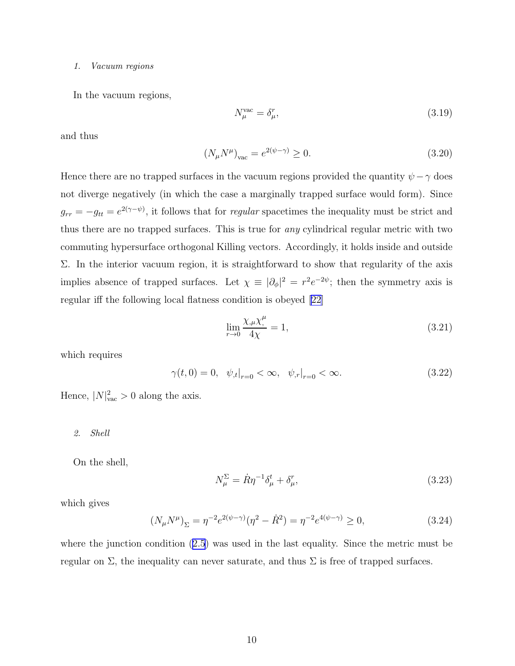#### <span id="page-9-0"></span>1. Vacuum regions

In the vacuum regions,

$$
N_{\mu}^{\text{vac}} = \delta_{\mu}^{r},\tag{3.19}
$$

and thus

$$
(N_{\mu}N^{\mu})_{\text{vac}} = e^{2(\psi - \gamma)} \ge 0. \tag{3.20}
$$

Hence there are no trapped surfaces in the vacuum regions provided the quantity  $\psi - \gamma$  does not diverge negatively (in which the case a marginally trapped surface would form). Since  $g_{rr} = -g_{tt} = e^{2(\gamma - \psi)}$ , it follows that for *regular* spacetimes the inequality must be strict and thus there are no trapped surfaces. This is true for any cylindrical regular metric with two commuting hypersurface orthogonal Killing vectors. Accordingly, it holds inside and outside Σ. In the interior vacuum region, it is straightforward to show that regularity of the axis implies absence of trapped surfaces. Let  $\chi \equiv |\partial_{\phi}|^2 = r^2 e^{-2\psi}$ ; then the symmetry axis is regular iff the following local flatness condition is obeyed [\[22](#page-24-0)]

$$
\lim_{r \to 0} \frac{\chi_{,\mu} \chi_{,}^{\mu}}{4\chi} = 1,\tag{3.21}
$$

which requires

$$
\gamma(t,0) = 0, \quad \psi_{,t}|_{r=0} < \infty, \quad \psi_{,r}|_{r=0} < \infty. \tag{3.22}
$$

Hence,  $|N|^2_{\text{vac}} > 0$  along the axis.

#### 2. Shell

On the shell,

$$
N_{\mu}^{\Sigma} = \dot{R}\eta^{-1}\delta_{\mu}^{t} + \delta_{\mu}^{r},\tag{3.23}
$$

which gives

$$
(N_{\mu}N^{\mu})_{\Sigma} = \eta^{-2}e^{2(\psi-\gamma)}(\eta^{2} - \dot{R}^{2}) = \eta^{-2}e^{4(\psi-\gamma)} \ge 0,
$$
\n(3.24)

where the junction condition [\(2.5](#page-3-0)) was used in the last equality. Since the metric must be regular on  $\Sigma$ , the inequality can never saturate, and thus  $\Sigma$  is free of trapped surfaces.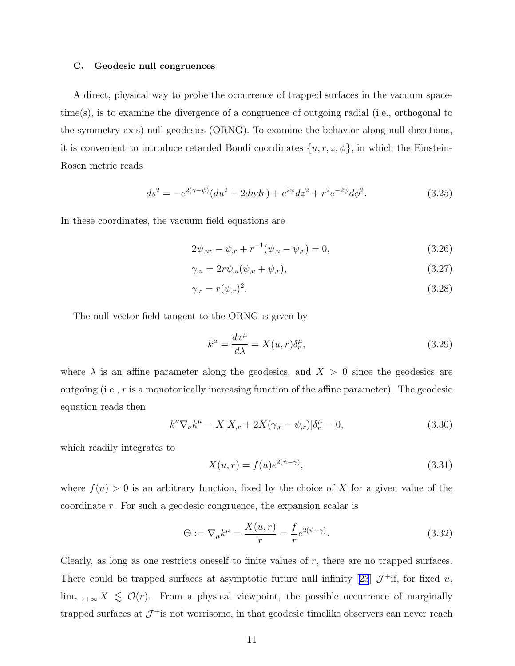#### <span id="page-10-0"></span>C. Geodesic null congruences

A direct, physical way to probe the occurrence of trapped surfaces in the vacuum spacetime(s), is to examine the divergence of a congruence of outgoing radial (i.e., orthogonal to the symmetry axis) null geodesics (ORNG). To examine the behavior along null directions, it is convenient to introduce retarded Bondi coordinates  $\{u, r, z, \phi\}$ , in which the Einstein-Rosen metric reads

$$
ds^{2} = -e^{2(\gamma - \psi)}(du^{2} + 2du dr) + e^{2\psi}dz^{2} + r^{2}e^{-2\psi}d\phi^{2}.
$$
 (3.25)

In these coordinates, the vacuum field equations are

$$
2\psi_{,ur} - \psi_{,r} + r^{-1}(\psi_{,u} - \psi_{,r}) = 0,
$$
\n(3.26)

$$
\gamma_{,u} = 2r\psi_{,u}(\psi_{,u} + \psi_{,r}),\tag{3.27}
$$

$$
\gamma_{,r} = r(\psi_{,r})^2. \tag{3.28}
$$

The null vector field tangent to the ORNG is given by

$$
k^{\mu} = \frac{dx^{\mu}}{d\lambda} = X(u, r)\delta^{\mu}_r,
$$
\n(3.29)

where  $\lambda$  is an affine parameter along the geodesics, and  $X > 0$  since the geodesics are outgoing (i.e.,  $r$  is a monotonically increasing function of the affine parameter). The geodesic equation reads then

$$
k^{\nu}\nabla_{\nu}k^{\mu} = X[X_{,r} + 2X(\gamma_{,r} - \psi_{,r})]\delta^{\mu}_{r} = 0,
$$
\n(3.30)

which readily integrates to

$$
X(u,r) = f(u)e^{2(\psi - \gamma)},\tag{3.31}
$$

where  $f(u) > 0$  is an arbitrary function, fixed by the choice of X for a given value of the coordinate r. For such a geodesic congruence, the expansion scalar is

$$
\Theta := \nabla_{\mu} k^{\mu} = \frac{X(u, r)}{r} = \frac{f}{r} e^{2(\psi - \gamma)}.
$$
\n(3.32)

Clearly, as long as one restricts oneself to finite values of  $r$ , there are no trapped surfaces. There could be trapped surfaces at asymptotic future null infinity [\[23](#page-24-0)]  $\mathcal{J}^+$  if, for fixed u,  $\lim_{r\to+\infty} X \leq \mathcal{O}(r)$ . From a physical viewpoint, the possible occurrence of marginally trapped surfaces at  $\mathcal{J}^+$  is not worrisome, in that geodesic timelike observers can never reach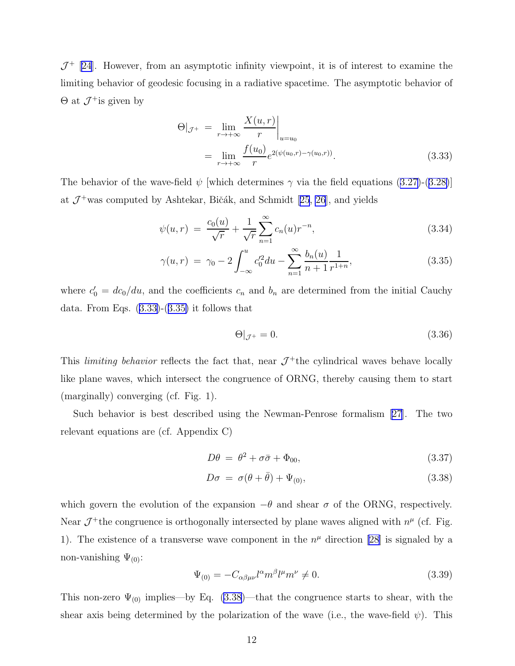<span id="page-11-0"></span> $J^+$  [\[24\]](#page-24-0). However, from an asymptotic infinity viewpoint, it is of interest to examine the limiting behavior of geodesic focusing in a radiative spacetime. The asymptotic behavior of  $\Theta$  at  $\mathcal{J}^+$  is given by

$$
\Theta|_{\mathcal{J}^{+}} = \lim_{r \to +\infty} \frac{X(u, r)}{r} \Big|_{u=u_0}
$$
  
= 
$$
\lim_{r \to +\infty} \frac{f(u_0)}{r} e^{2(\psi(u_0, r) - \gamma(u_0, r))}.
$$
 (3.33)

Thebehavior of the wave-field  $\psi$  [which determines  $\gamma$  via the field equations ([3.27\)](#page-10-0)-([3.28\)](#page-10-0)] at $\mathcal{J}^{+}$ was computed by Ashtekar, Bičák, and Schmidt [[25](#page-24-0), [26](#page-24-0)], and yields

$$
\psi(u,r) = \frac{c_0(u)}{\sqrt{r}} + \frac{1}{\sqrt{r}} \sum_{n=1}^{\infty} c_n(u) r^{-n},
$$
\n(3.34)

$$
\gamma(u,r) = \gamma_0 - 2 \int_{-\infty}^{u} c_0'^2 du - \sum_{n=1}^{\infty} \frac{b_n(u)}{n+1} \frac{1}{r^{1+n}},
$$
\n(3.35)

where  $c'_0 = dc_0/du$ , and the coefficients  $c_n$  and  $b_n$  are determined from the initial Cauchy data. From Eqs. (3.33)-(3.35) it follows that

$$
\Theta|_{\mathcal{J}^+} = 0. \tag{3.36}
$$

This *limiting behavior* reflects the fact that, near  $\mathcal{J}^+$ the cylindrical waves behave locally like plane waves, which intersect the congruence of ORNG, thereby causing them to start (marginally) converging (cf. Fig. 1).

Such behavior is best described using the Newman-Penrose formalism [\[27\]](#page-24-0). The two relevant equations are (cf. Appendix C)

$$
D\theta = \theta^2 + \sigma\bar{\sigma} + \Phi_{00},\tag{3.37}
$$

$$
D\sigma = \sigma(\theta + \bar{\theta}) + \Psi_{(0)}, \qquad (3.38)
$$

which govern the evolution of the expansion  $-\theta$  and shear  $\sigma$  of the ORNG, respectively. Near  $\mathcal{J}^+$  the congruence is orthogonally intersected by plane waves aligned with  $n^{\mu}$  (cf. Fig. 1). The existence of a transverse wave component in the  $n^{\mu}$  direction [\[28\]](#page-24-0) is signaled by a non-vanishing  $\Psi_{(0)}$ :

$$
\Psi_{(0)} = -C_{\alpha\beta\mu\nu}l^{\alpha}m^{\beta}l^{\mu}m^{\nu} \neq 0.
$$
\n(3.39)

This non-zero  $\Psi_{(0)}$  implies—by Eq. (3.38)—that the congruence starts to shear, with the shear axis being determined by the polarization of the wave (i.e., the wave-field  $\psi$ ). This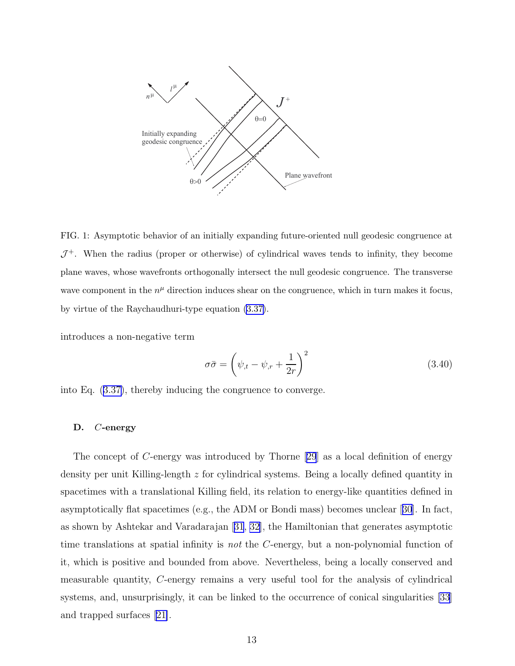

FIG. 1: Asymptotic behavior of an initially expanding future-oriented null geodesic congruence at  $J^+$ . When the radius (proper or otherwise) of cylindrical waves tends to infinity, they become plane waves, whose wavefronts orthogonally intersect the null geodesic congruence. The transverse wave component in the  $n^{\mu}$  direction induces shear on the congruence, which in turn makes it focus, by virtue of the Raychaudhuri-type equation [\(3.37\)](#page-11-0).

introduces a non-negative term

$$
\sigma \bar{\sigma} = \left(\psi_{,t} - \psi_{,r} + \frac{1}{2r}\right)^2 \tag{3.40}
$$

into Eq.([3.37\)](#page-11-0), thereby inducing the congruence to converge.

#### D. C-energy

The concept of C-energy was introduced by Thorne[[29](#page-24-0)] as a local definition of energy density per unit Killing-length z for cylindrical systems. Being a locally defined quantity in spacetimes with a translational Killing field, its relation to energy-like quantities defined in asymptotically flat spacetimes (e.g., the ADM or Bondi mass) becomes unclear[[30](#page-24-0)]. In fact, as shown by Ashtekar and Varadarajan[[31](#page-24-0), [32\]](#page-24-0), the Hamiltonian that generates asymptotic time translations at spatial infinity is not the C-energy, but a non-polynomial function of it, which is positive and bounded from above. Nevertheless, being a locally conserved and measurable quantity, C-energy remains a very useful tool for the analysis of cylindrical systems, and, unsurprisingly, it can be linked to the occurrence of conical singularities [\[33\]](#page-24-0) and trapped surfaces[[21\]](#page-24-0).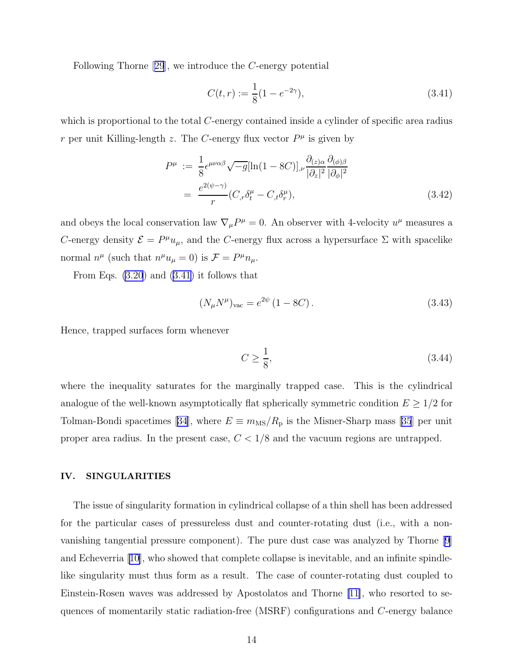Following Thorne[[29](#page-24-0)], we introduce the C-energy potential

$$
C(t,r) := \frac{1}{8}(1 - e^{-2\gamma}),\tag{3.41}
$$

which is proportional to the total C-energy contained inside a cylinder of specific area radius r per unit Killing-length z. The C-energy flux vector  $P^{\mu}$  is given by

$$
P^{\mu} := \frac{1}{8} \epsilon^{\mu\nu\alpha\beta} \sqrt{-g} [\ln(1 - 8C)]_{,\nu} \frac{\partial_{(z)\alpha}}{|\partial_z|^2} \frac{\partial_{(\phi)\beta}}{|\partial_{\phi}|^2}
$$
  
= 
$$
\frac{e^{2(\psi - \gamma)}}{r} (C_{,\tau} \delta^{\mu}_t - C_{,\tau} \delta^{\mu}_r),
$$
 (3.42)

and obeys the local conservation law  $\nabla_{\mu}P^{\mu} = 0$ . An observer with 4-velocity  $u^{\mu}$  measures a C-energy density  $\mathcal{E} = P^{\mu}u_{\mu}$ , and the C-energy flux across a hypersurface  $\Sigma$  with spacelike normal  $n^{\mu}$  (such that  $n^{\mu}u_{\mu} = 0$ ) is  $\mathcal{F} = P^{\mu}n_{\mu}$ .

From Eqs. [\(3.20](#page-9-0)) and (3.41) it follows that

$$
(N_{\mu}N^{\mu})_{\text{vac}} = e^{2\psi} (1 - 8C). \qquad (3.43)
$$

Hence, trapped surfaces form whenever

$$
C \ge \frac{1}{8},\tag{3.44}
$$

where the inequality saturates for the marginally trapped case. This is the cylindrical analogue of the well-known asymptotically flat spherically symmetric condition  $E \geq 1/2$  for Tolman-Bondi spacetimes [\[34\]](#page-24-0),where  $E \equiv m_{\rm MS}/R_{\rm p}$  is the Misner-Sharp mass [[35](#page-24-0)] per unit proper area radius. In the present case,  $C < 1/8$  and the vacuum regions are untrapped.

## IV. SINGULARITIES

The issue of singularity formation in cylindrical collapse of a thin shell has been addressed for the particular cases of pressureless dust and counter-rotating dust (i.e., with a nonvanishing tangential pressure component). The pure dust case was analyzed by Thorne [\[9\]](#page-23-0) and Echeverria [\[10\]](#page-23-0), who showed that complete collapse is inevitable, and an infinite spindlelike singularity must thus form as a result. The case of counter-rotating dust coupled to Einstein-Rosen waves was addressed by Apostolatos and Thorne [\[11\]](#page-23-0), who resorted to sequences of momentarily static radiation-free (MSRF) configurations and C-energy balance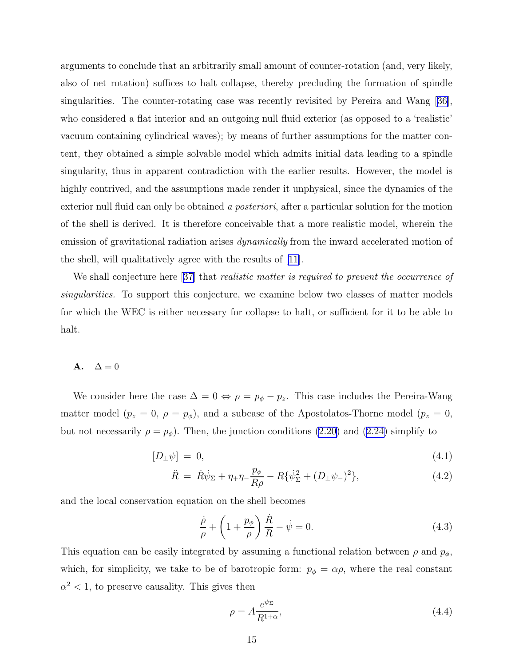<span id="page-14-0"></span>arguments to conclude that an arbitrarily small amount of counter-rotation (and, very likely, also of net rotation) suffices to halt collapse, thereby precluding the formation of spindle singularities. The counter-rotating case was recently revisited by Pereira and Wang [\[36\]](#page-24-0), who considered a flat interior and an outgoing null fluid exterior (as opposed to a 'realistic' vacuum containing cylindrical waves); by means of further assumptions for the matter content, they obtained a simple solvable model which admits initial data leading to a spindle singularity, thus in apparent contradiction with the earlier results. However, the model is highly contrived, and the assumptions made render it unphysical, since the dynamics of the exterior null fluid can only be obtained a *posteriori*, after a particular solution for the motion of the shell is derived. It is therefore conceivable that a more realistic model, wherein the emission of gravitational radiation arises *dynamically* from the inward accelerated motion of the shell, will qualitatively agree with the results of [\[11\]](#page-23-0).

We shall conjecture here [\[37\]](#page-25-0) that *realistic matter is required to prevent the occurrence of* singularities. To support this conjecture, we examine below two classes of matter models for which the WEC is either necessary for collapse to halt, or sufficient for it to be able to halt.

## A.  $\Delta = 0$

We consider here the case  $\Delta = 0 \Leftrightarrow \rho = p_{\phi} - p_z$ . This case includes the Pereira-Wang matter model  $(p_z = 0, \rho = p_\phi)$ , and a subcase of the Apostolatos-Thorne model  $(p_z = 0, \rho = p_\phi)$ butnot necessarily  $\rho = p_{\phi}$ . Then, the junction conditions [\(2.20](#page-5-0)) and ([2.24\)](#page-5-0) simplify to

$$
[D_{\perp}\psi] = 0,\t\t(4.1)
$$

$$
\ddot{R} = \dot{R}\dot{\psi}_{\Sigma} + \eta_{+}\eta_{-}\frac{p_{\phi}}{R\rho} - R\{\dot{\psi}_{\Sigma}^{2} + (D_{\perp}\psi_{-})^{2}\},\tag{4.2}
$$

and the local conservation equation on the shell becomes

$$
\frac{\dot{\rho}}{\rho} + \left(1 + \frac{p_{\phi}}{\rho}\right)\frac{\dot{R}}{R} - \dot{\psi} = 0.
$$
\n(4.3)

This equation can be easily integrated by assuming a functional relation between  $\rho$  and  $p_{\phi}$ , which, for simplicity, we take to be of barotropic form:  $p_{\phi} = \alpha \rho$ , where the real constant  $\alpha^2$  < 1, to preserve causality. This gives then

$$
\rho = A \frac{e^{\psi_{\Sigma}}}{R^{1+\alpha}},\tag{4.4}
$$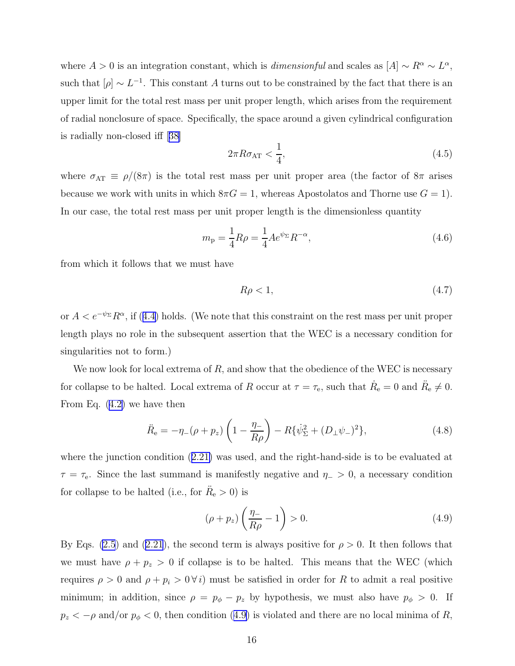where  $A > 0$  is an integration constant, which is *dimensionful* and scales as  $[A] \sim R^{\alpha} \sim L^{\alpha}$ , such that  $[\rho] \sim L^{-1}$ . This constant A turns out to be constrained by the fact that there is an upper limit for the total rest mass per unit proper length, which arises from the requirement of radial nonclosure of space. Specifically, the space around a given cylindrical configuration is radially non-closed iff[[38\]](#page-25-0)

$$
2\pi R\sigma_{\rm AT} < \frac{1}{4},\tag{4.5}
$$

where  $\sigma_{AT} \equiv \rho/(8\pi)$  is the total rest mass per unit proper area (the factor of  $8\pi$  arises because we work with units in which  $8\pi G = 1$ , whereas Apostolatos and Thorne use  $G = 1$ ). In our case, the total rest mass per unit proper length is the dimensionless quantity

$$
m_{\rm p} = \frac{1}{4}R\rho = \frac{1}{4}Ae^{\psi_{\Sigma}}R^{-\alpha},\tag{4.6}
$$

from which it follows that we must have

$$
R\rho < 1,\tag{4.7}
$$

or $A < e^{-\psi_{\Sigma}} R^{\alpha}$ , if ([4.4\)](#page-14-0) holds. (We note that this constraint on the rest mass per unit proper length plays no role in the subsequent assertion that the WEC is a necessary condition for singularities not to form.)

We now look for local extrema of  $R$ , and show that the obedience of the WEC is necessary for collapse to be halted. Local extrema of R occur at  $\tau = \tau_{\rm e}$ , such that  $\dot{R}_{\rm e} = 0$  and  $\ddot{R}_{\rm e} \neq 0$ . From Eq.([4.2\)](#page-14-0) we have then

$$
\ddot{R}_{e} = -\eta_{-}(\rho + p_{z}) \left( 1 - \frac{\eta_{-}}{R\rho} \right) - R \{\dot{\psi}_{\Sigma}^{2} + (D_{\perp}\psi_{-})^{2} \},\tag{4.8}
$$

where the junction condition([2.21\)](#page-5-0) was used, and the right-hand-side is to be evaluated at  $\tau = \tau_e$ . Since the last summand is manifestly negative and  $\eta_+ > 0$ , a necessary condition for collapse to be halted (i.e., for  $\ddot{R}_e > 0$ ) is

$$
(\rho + p_z) \left(\frac{\eta_-}{R\rho} - 1\right) > 0. \tag{4.9}
$$

By Eqs. [\(2.5](#page-3-0)) and [\(2.21](#page-5-0)), the second term is always positive for  $\rho > 0$ . It then follows that we must have  $\rho + p_z > 0$  if collapse is to be halted. This means that the WEC (which requires  $\rho > 0$  and  $\rho + p_i > 0 \forall i$ ) must be satisfied in order for R to admit a real positive minimum; in addition, since  $\rho = p_{\phi} - p_z$  by hypothesis, we must also have  $p_{\phi} > 0$ . If  $p_z < -\rho$  and/or  $p_{\phi} < 0$ , then condition (4.9) is violated and there are no local minima of R,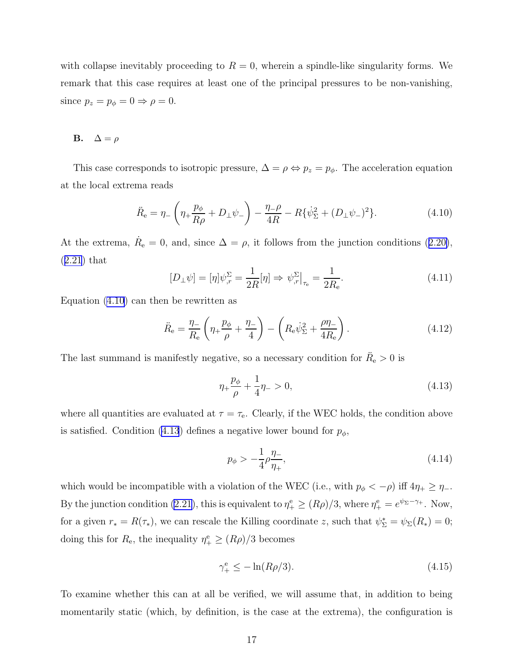<span id="page-16-0"></span>with collapse inevitably proceeding to  $R = 0$ , wherein a spindle-like singularity forms. We remark that this case requires at least one of the principal pressures to be non-vanishing, since  $p_z = p_\phi = 0 \Rightarrow \rho = 0$ .

## **B.**  $\Delta = \rho$

This case corresponds to isotropic pressure,  $\Delta = \rho \Leftrightarrow p_z = p_{\phi}$ . The acceleration equation at the local extrema reads

$$
\ddot{R}_{\rm e} = \eta_{-} \left( \eta_{+} \frac{p_{\phi}}{R \rho} + D_{\perp} \psi_{-} \right) - \frac{\eta_{-} \rho}{4R} - R \{ \dot{\psi}_{\Sigma}^{2} + (D_{\perp} \psi_{-})^{2} \}.
$$
 (4.10)

Atthe extrema,  $\dot{R}_{\rm e} = 0$ , and, since  $\Delta = \rho$ , it follows from the junction conditions ([2.20\)](#page-5-0), ([2.21](#page-5-0)) that

$$
[D_{\perp}\psi] = [\eta]\psi_{,r}^{\Sigma} = \frac{1}{2R}[\eta] \Rightarrow \psi_{,r}^{\Sigma}|_{\tau_{e}} = \frac{1}{2R_{e}}.
$$
\n(4.11)

Equation (4.10) can then be rewritten as

$$
\ddot{R}_{\rm e} = \frac{\eta_{-}}{R_{\rm e}} \left( \eta_{+} \frac{p_{\phi}}{\rho} + \frac{\eta_{-}}{4} \right) - \left( R_{\rm e} \dot{\psi}_{\Sigma}^{2} + \frac{\rho \eta_{-}}{4R_{\rm e}} \right). \tag{4.12}
$$

The last summand is manifestly negative, so a necessary condition for  $\ddot{R}_{\rm e} > 0$  is

$$
\eta_{+}\frac{p_{\phi}}{\rho} + \frac{1}{4}\eta_{-} > 0, \tag{4.13}
$$

where all quantities are evaluated at  $\tau = \tau_e$ . Clearly, if the WEC holds, the condition above is satisfied. Condition (4.13) defines a negative lower bound for  $p_{\phi}$ ,

$$
p_{\phi} > -\frac{1}{4}\rho \frac{\eta_{-}}{\eta_{+}},\tag{4.14}
$$

which would be incompatible with a violation of the WEC (i.e., with  $p_{\phi} < -\rho$ ) iff  $4\eta_{+} \ge \eta_{-}$ . By the junction condition [\(2.21](#page-5-0)), this is equivalent to  $\eta_+^e \ge (R\rho)/3$ , where  $\eta_+^e = e^{\psi_{\Sigma}-\gamma_+}$ . Now, for a given  $r_* = R(\tau_*)$ , we can rescale the Killing coordinate z, such that  $\psi_{\Sigma}^* = \psi_{\Sigma}(R_*) = 0$ ; doing this for  $R_e$ , the inequality  $\eta_+^e \ge (R\rho)/3$  becomes

$$
\gamma_+^e \le -\ln(R\rho/3). \tag{4.15}
$$

To examine whether this can at all be verified, we will assume that, in addition to being momentarily static (which, by definition, is the case at the extrema), the configuration is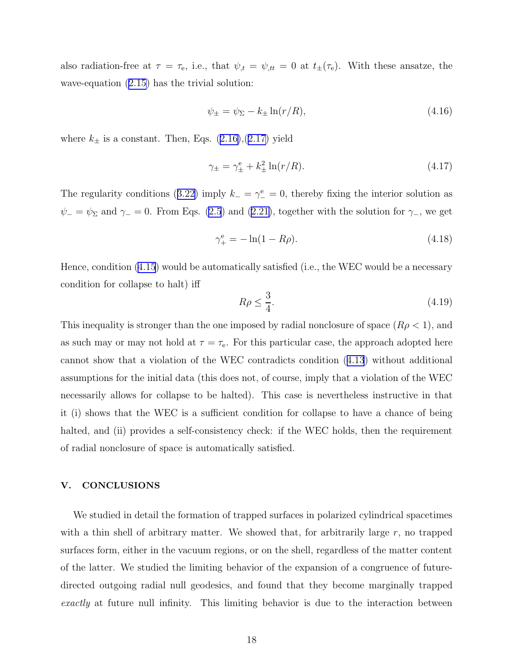also radiation-free at  $\tau = \tau_{e}$ , i.e., that  $\psi_{,t} = \psi_{,tt} = 0$  at  $t_{\pm}(\tau_{e})$ . With these ansatze, the wave-equation([2.15\)](#page-4-0) has the trivial solution:

$$
\psi_{\pm} = \psi_{\Sigma} - k_{\pm} \ln(r/R), \tag{4.16}
$$

where $k_{\pm}$  is a constant. Then, Eqs. ([2.16\)](#page-4-0),([2.17\)](#page-4-0) yield

$$
\gamma_{\pm} = \gamma_{\pm}^{\text{e}} + k_{\pm}^{2} \ln(r/R). \tag{4.17}
$$

Theregularity conditions ([3.22\)](#page-9-0) imply  $k = \gamma_{-}^{e} = 0$ , thereby fixing the interior solution as  $\psi_$ =  $\psi_$  and  $\gamma_$  = 0. From Eqs. [\(2.5](#page-3-0)) and ([2.21\)](#page-5-0), together with the solution for  $\gamma_$ , we get

$$
\gamma_{+}^{\text{e}} = -\ln(1 - R\rho). \tag{4.18}
$$

Hence, condition [\(4.15](#page-16-0)) would be automatically satisfied (i.e., the WEC would be a necessary condition for collapse to halt) iff

$$
R\rho \le \frac{3}{4}.\tag{4.19}
$$

This inequality is stronger than the one imposed by radial nonclosure of space  $(R\rho < 1)$ , and as such may or may not hold at  $\tau = \tau_e$ . For this particular case, the approach adopted here cannot show that a violation of the WEC contradicts condition([4.13](#page-16-0)) without additional assumptions for the initial data (this does not, of course, imply that a violation of the WEC necessarily allows for collapse to be halted). This case is nevertheless instructive in that it (i) shows that the WEC is a sufficient condition for collapse to have a chance of being halted, and (ii) provides a self-consistency check: if the WEC holds, then the requirement of radial nonclosure of space is automatically satisfied.

## V. CONCLUSIONS

We studied in detail the formation of trapped surfaces in polarized cylindrical spacetimes with a thin shell of arbitrary matter. We showed that, for arbitrarily large  $r$ , no trapped surfaces form, either in the vacuum regions, or on the shell, regardless of the matter content of the latter. We studied the limiting behavior of the expansion of a congruence of futuredirected outgoing radial null geodesics, and found that they become marginally trapped exactly at future null infinity. This limiting behavior is due to the interaction between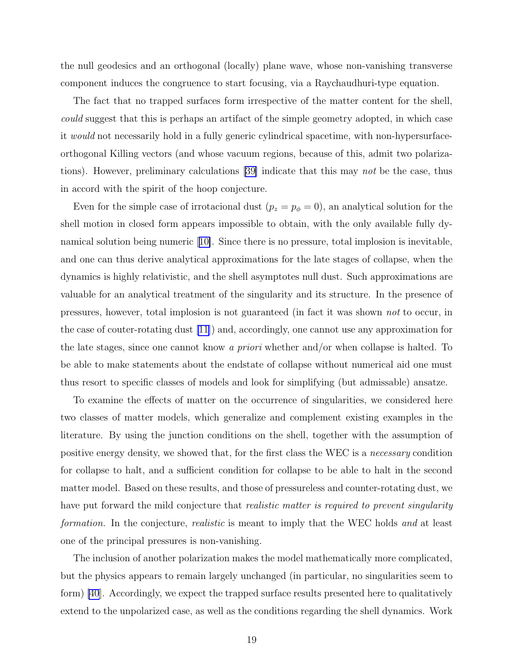the null geodesics and an orthogonal (locally) plane wave, whose non-vanishing transverse component induces the congruence to start focusing, via a Raychaudhuri-type equation.

The fact that no trapped surfaces form irrespective of the matter content for the shell, could suggest that this is perhaps an artifact of the simple geometry adopted, in which case it would not necessarily hold in a fully generic cylindrical spacetime, with non-hypersurfaceorthogonal Killing vectors (and whose vacuum regions, because of this, admit two polarizations). However, preliminary calculations [\[39\]](#page-25-0) indicate that this may not be the case, thus in accord with the spirit of the hoop conjecture.

Even for the simple case of irrotacional dust  $(p_z = p_{\phi} = 0)$ , an analytical solution for the shell motion in closed form appears impossible to obtain, with the only available fully dynamical solution being numeric[[10\]](#page-23-0). Since there is no pressure, total implosion is inevitable, and one can thus derive analytical approximations for the late stages of collapse, when the dynamics is highly relativistic, and the shell asymptotes null dust. Such approximations are valuable for an analytical treatment of the singularity and its structure. In the presence of pressures, however, total implosion is not guaranteed (in fact it was shown not to occur, in the case of couter-rotating dust [\[11](#page-23-0)]) and, accordingly, one cannot use any approximation for the late stages, since one cannot know a priori whether and/or when collapse is halted. To be able to make statements about the endstate of collapse without numerical aid one must thus resort to specific classes of models and look for simplifying (but admissable) ansatze.

To examine the effects of matter on the occurrence of singularities, we considered here two classes of matter models, which generalize and complement existing examples in the literature. By using the junction conditions on the shell, together with the assumption of positive energy density, we showed that, for the first class the WEC is a necessary condition for collapse to halt, and a sufficient condition for collapse to be able to halt in the second matter model. Based on these results, and those of pressureless and counter-rotating dust, we have put forward the mild conjecture that *realistic matter is required to prevent singularity* formation. In the conjecture, *realistic* is meant to imply that the WEC holds and at least one of the principal pressures is non-vanishing.

The inclusion of another polarization makes the model mathematically more complicated, but the physics appears to remain largely unchanged (in particular, no singularities seem to form) [\[40](#page-25-0)]. Accordingly, we expect the trapped surface results presented here to qualitatively extend to the unpolarized case, as well as the conditions regarding the shell dynamics. Work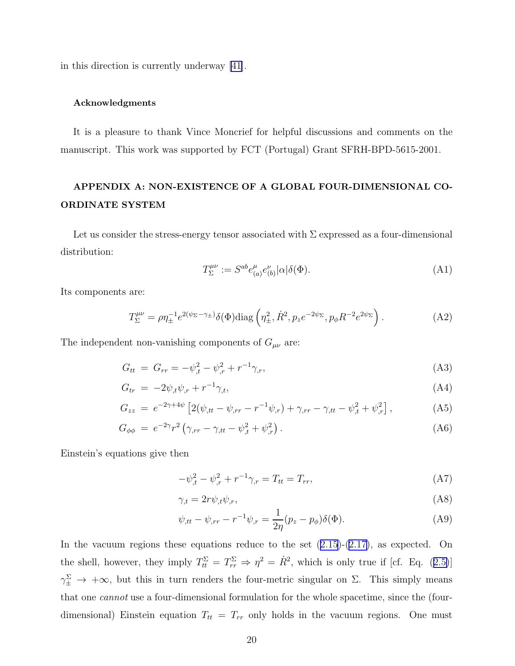in this direction is currently underway [\[41](#page-25-0)].

## Acknowledgments

It is a pleasure to thank Vince Moncrief for helpful discussions and comments on the manuscript. This work was supported by FCT (Portugal) Grant SFRH-BPD-5615-2001.

## APPENDIX A: NON-EXISTENCE OF A GLOBAL FOUR-DIMENSIONAL CO-ORDINATE SYSTEM

Let us consider the stress-energy tensor associated with  $\Sigma$  expressed as a four-dimensional distribution:

$$
T_{\Sigma}^{\mu\nu} := S^{ab} e_{(a)}^{\mu} e_{(b)}^{\nu} |\alpha| \delta(\Phi). \tag{A1}
$$

Its components are:

$$
T_{\Sigma}^{\mu\nu} = \rho \eta_{\pm}^{-1} e^{2(\psi_{\Sigma} - \gamma_{\pm})} \delta(\Phi) \text{diag}\left(\eta_{\pm}^2, \dot{R}^2, p_z e^{-2\psi_{\Sigma}}, p_{\phi} R^{-2} e^{2\psi_{\Sigma}}\right). \tag{A2}
$$

The independent non-vanishing components of  $G_{\mu\nu}$  are:

$$
G_{tt} = G_{rr} = -\psi_{,t}^2 - \psi_{,r}^2 + r^{-1}\gamma_{,r}, \tag{A3}
$$

$$
G_{tr} = -2\psi_{,t}\psi_{,r} + r^{-1}\gamma_{,t},\tag{A4}
$$

$$
G_{zz} = e^{-2\gamma + 4\psi} \left[ 2(\psi_{,tt} - \psi_{,rr} - r^{-1}\psi_{,r}) + \gamma_{,rr} - \gamma_{,tt} - \psi_{,t}^2 + \psi_{,r}^2 \right], \tag{A5}
$$

$$
G_{\phi\phi} = e^{-2\gamma} r^2 \left( \gamma_{,rr} - \gamma_{,tt} - \psi_{,t}^2 + \psi_{,r}^2 \right). \tag{A6}
$$

Einstein's equations give then

$$
-\psi_{,t}^{2} - \psi_{,r}^{2} + r^{-1}\gamma_{,r} = T_{tt} = T_{rr},
$$
\n(A7)

$$
\gamma_{,t} = 2r\psi_{,t}\psi_{,r},\tag{A8}
$$

$$
\psi_{,tt} - \psi_{,rr} - r^{-1}\psi_{,r} = \frac{1}{2\eta}(p_z - p_\phi)\delta(\Phi). \tag{A9}
$$

Inthe vacuum regions these equations reduce to the set  $(2.15)-(2.17)$  $(2.15)-(2.17)$  $(2.15)-(2.17)$  $(2.15)-(2.17)$ , as expected. On theshell, however, they imply  $T_{tt}^{\Sigma} = T_{rr}^{\Sigma} \Rightarrow \eta^2 = \dot{R}^2$ , which is only true if [cf. Eq. ([2.5\)](#page-3-0)]  $\gamma_{\pm}^{\Sigma} \rightarrow +\infty$ , but this in turn renders the four-metric singular on  $\Sigma$ . This simply means that one cannot use a four-dimensional formulation for the whole spacetime, since the (fourdimensional) Einstein equation  $T_{tt} = T_{rr}$  only holds in the vacuum regions. One must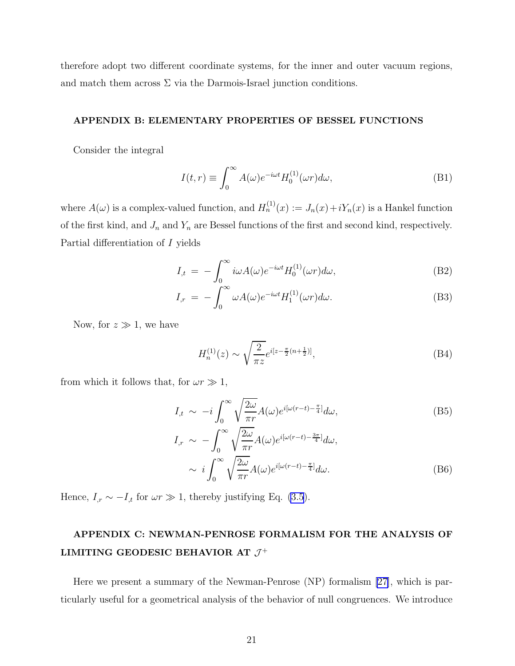therefore adopt two different coordinate systems, for the inner and outer vacuum regions, and match them across  $\Sigma$  via the Darmois-Israel junction conditions.

## APPENDIX B: ELEMENTARY PROPERTIES OF BESSEL FUNCTIONS

Consider the integral

$$
I(t,r) \equiv \int_0^\infty A(\omega)e^{-i\omega t} H_0^{(1)}(\omega r) d\omega,
$$
 (B1)

where  $A(\omega)$  is a complex-valued function, and  $H_n^{(1)}(x) := J_n(x) + iY_n(x)$  is a Hankel function of the first kind, and  $J_n$  and  $Y_n$  are Bessel functions of the first and second kind, respectively. Partial differentiation of I yields

$$
I_{,t} = -\int_0^\infty i\omega A(\omega)e^{-i\omega t}H_0^{(1)}(\omega r)d\omega,
$$
\n(B2)

$$
I_{,r} = -\int_0^\infty \omega A(\omega)e^{-i\omega t}H_1^{(1)}(\omega r)d\omega.
$$
 (B3)

Now, for  $z \gg 1$ , we have

$$
H_n^{(1)}(z) \sim \sqrt{\frac{2}{\pi z}} e^{i[z - \frac{\pi}{2}(n + \frac{1}{2})]},\tag{B4}
$$

from which it follows that, for  $\omega r \gg 1$ ,

$$
I_{,t} \sim -i \int_0^\infty \sqrt{\frac{2\omega}{\pi r}} A(\omega) e^{i[\omega(r-t) - \frac{\pi}{4}]} d\omega, \tag{B5}
$$

$$
I_{,r} \sim -\int_0^\infty \sqrt{\frac{2\omega}{\pi r}} A(\omega) e^{i[\omega(r-t) - \frac{3\pi}{4}]} d\omega,
$$
  
 
$$
\sim i \int_0^\infty \sqrt{\frac{2\omega}{\pi r}} A(\omega) e^{i[\omega(r-t) - \frac{\pi}{4}]} d\omega.
$$
 (B6)

Hence,  $I_{,r} \sim -I_{,t}$  for  $\omega r \gg 1$ , thereby justifying Eq. [\(3.5](#page-6-0)).

## APPENDIX C: NEWMAN-PENROSE FORMALISM FOR THE ANALYSIS OF LIMITING GEODESIC BEHAVIOR AT  $\mathcal{J}^+$

Here we present a summary of the Newman-Penrose (NP) formalism [\[27\]](#page-24-0), which is particularly useful for a geometrical analysis of the behavior of null congruences. We introduce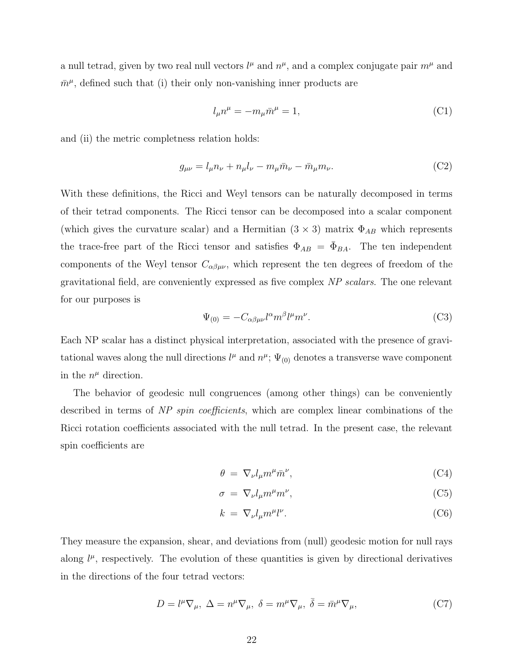a null tetrad, given by two real null vectors  $l^{\mu}$  and  $n^{\mu}$ , and a complex conjugate pair  $m^{\mu}$  and  $\bar{m}^{\mu}$ , defined such that (i) their only non-vanishing inner products are

$$
l_{\mu}n^{\mu} = -m_{\mu}\bar{m}^{\mu} = 1, \tag{C1}
$$

and (ii) the metric completness relation holds:

$$
g_{\mu\nu} = l_{\mu} n_{\nu} + n_{\mu} l_{\nu} - m_{\mu} \bar{m}_{\nu} - \bar{m}_{\mu} m_{\nu}.
$$
 (C2)

With these definitions, the Ricci and Weyl tensors can be naturally decomposed in terms of their tetrad components. The Ricci tensor can be decomposed into a scalar component (which gives the curvature scalar) and a Hermitian  $(3 \times 3)$  matrix  $\Phi_{AB}$  which represents the trace-free part of the Ricci tensor and satisfies  $\Phi_{AB} = \bar{\Phi}_{BA}$ . The ten independent components of the Weyl tensor  $C_{\alpha\beta\mu\nu}$ , which represent the ten degrees of freedom of the gravitational field, are conveniently expressed as five complex NP scalars. The one relevant for our purposes is

$$
\Psi_{(0)} = -C_{\alpha\beta\mu\nu}l^{\alpha}m^{\beta}l^{\mu}m^{\nu}.
$$
\n(C3)

Each NP scalar has a distinct physical interpretation, associated with the presence of gravitational waves along the null directions  $l^{\mu}$  and  $n^{\mu}$ ;  $\Psi_{(0)}$  denotes a transverse wave component in the  $n^{\mu}$  direction.

The behavior of geodesic null congruences (among other things) can be conveniently described in terms of NP spin coefficients, which are complex linear combinations of the Ricci rotation coefficients associated with the null tetrad. In the present case, the relevant spin coefficients are

$$
\theta = \nabla_{\nu} l_{\mu} m^{\mu} \bar{m}^{\nu},\tag{C4}
$$

$$
\sigma = \nabla_{\nu} l_{\mu} m^{\mu} m^{\nu},\tag{C5}
$$

$$
k = \nabla_{\nu} l_{\mu} m^{\mu} l^{\nu}.
$$
 (C6)

They measure the expansion, shear, and deviations from (null) geodesic motion for null rays along  $l^{\mu}$ , respectively. The evolution of these quantities is given by directional derivatives in the directions of the four tetrad vectors:

$$
D = l^{\mu} \nabla_{\mu}, \ \Delta = n^{\mu} \nabla_{\mu}, \ \delta = m^{\mu} \nabla_{\mu}, \ \bar{\delta} = \bar{m}^{\mu} \nabla_{\mu}, \tag{C7}
$$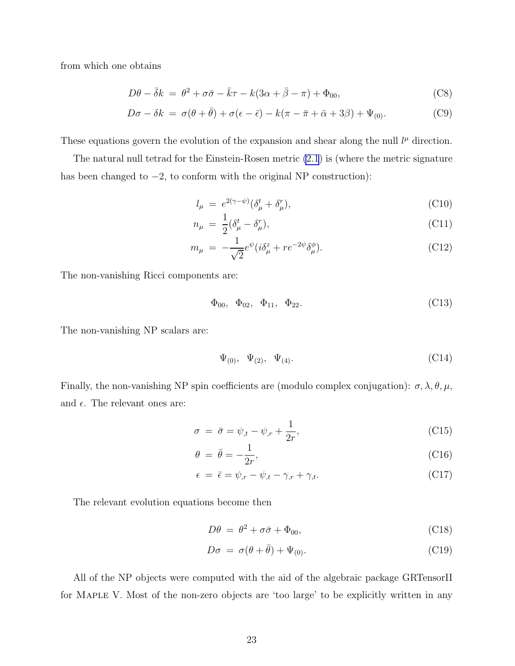from which one obtains

$$
D\theta - \bar{\delta}k = \theta^2 + \sigma\bar{\sigma} - \bar{k}\tau - k(3\alpha + \bar{\beta} - \pi) + \Phi_{00},
$$
 (C8)

$$
D\sigma - \delta k = \sigma(\theta + \bar{\theta}) + \sigma(\epsilon - \bar{\epsilon}) - k(\pi - \bar{\pi} + \bar{\alpha} + 3\beta) + \Psi_{(0)}.
$$
 (C9)

These equations govern the evolution of the expansion and shear along the null  $l^{\mu}$  direction.

The natural null tetrad for the Einstein-Rosen metric [\(2.1](#page-3-0)) is (where the metric signature has been changed to  $-2$ , to conform with the original NP construction):

$$
l_{\mu} = e^{2(\gamma - \psi)} (\delta_{\mu}^{t} + \delta_{\mu}^{r}), \qquad (C10)
$$

$$
n_{\mu} = \frac{1}{2} (\delta_{\mu}^{t} - \delta_{\mu}^{r}), \qquad (C11)
$$

$$
m_{\mu} = -\frac{1}{\sqrt{2}} e^{\psi} (i\delta_{\mu}^{z} + r e^{-2\psi} \delta_{\mu}^{\phi}). \tag{C12}
$$

The non-vanishing Ricci components are:

$$
\Phi_{00}, \quad \Phi_{02}, \quad \Phi_{11}, \quad \Phi_{22}.\tag{C13}
$$

The non-vanishing NP scalars are:

$$
\Psi_{(0)}, \Psi_{(2)}, \Psi_{(4)}.
$$
\n(C14)

Finally, the non-vanishing NP spin coefficients are (modulo complex conjugation):  $\sigma$ ,  $\lambda$ ,  $\theta$ ,  $\mu$ , and  $\epsilon$ . The relevant ones are:

$$
\sigma = \bar{\sigma} = \psi_{,t} - \psi_{,r} + \frac{1}{2r},\tag{C15}
$$

$$
\theta = \bar{\theta} = -\frac{1}{2r},\tag{C16}
$$

$$
\epsilon = \bar{\epsilon} = \psi_{,r} - \psi_{,t} - \gamma_{,r} + \gamma_{,t}.\tag{C17}
$$

The relevant evolution equations become then

$$
D\theta = \theta^2 + \sigma \bar{\sigma} + \Phi_{00}, \qquad (C18)
$$

$$
D\sigma = \sigma(\theta + \bar{\theta}) + \Psi_{(0)}.
$$
\n(C19)

All of the NP objects were computed with the aid of the algebraic package GRTensorII for Maple V. Most of the non-zero objects are 'too large' to be explicitly written in any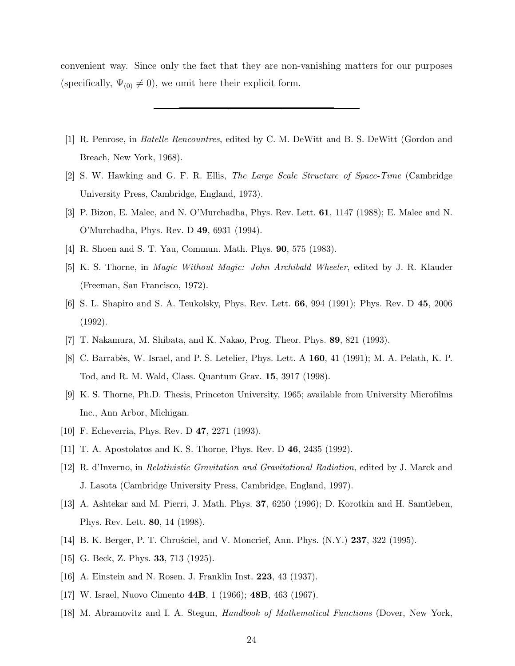<span id="page-23-0"></span>convenient way. Since only the fact that they are non-vanishing matters for our purposes (specifically,  $\Psi_{(0)} \neq 0$ ), we omit here their explicit form.

- [1] R. Penrose, in Batelle Rencountres, edited by C. M. DeWitt and B. S. DeWitt (Gordon and Breach, New York, 1968).
- [2] S. W. Hawking and G. F. R. Ellis, The Large Scale Structure of Space-Time (Cambridge University Press, Cambridge, England, 1973).
- [3] P. Bizon, E. Malec, and N. O'Murchadha, Phys. Rev. Lett. 61, 1147 (1988); E. Malec and N. O'Murchadha, Phys. Rev. D 49, 6931 (1994).
- [4] R. Shoen and S. T. Yau, Commun. Math. Phys. 90, 575 (1983).
- [5] K. S. Thorne, in Magic Without Magic: John Archibald Wheeler, edited by J. R. Klauder (Freeman, San Francisco, 1972).
- [6] S. L. Shapiro and S. A. Teukolsky, Phys. Rev. Lett. 66, 994 (1991); Phys. Rev. D 45, 2006 (1992).
- [7] T. Nakamura, M. Shibata, and K. Nakao, Prog. Theor. Phys. 89, 821 (1993).
- [8] C. Barrabès, W. Israel, and P. S. Letelier, Phys. Lett. A 160, 41 (1991); M. A. Pelath, K. P. Tod, and R. M. Wald, Class. Quantum Grav. 15, 3917 (1998).
- [9] K. S. Thorne, Ph.D. Thesis, Princeton University, 1965; available from University Microfilms Inc., Ann Arbor, Michigan.
- [10] F. Echeverria, Phys. Rev. D **47**, 2271 (1993).
- [11] T. A. Apostolatos and K. S. Thorne, Phys. Rev. D 46, 2435 (1992).
- [12] R. d'Inverno, in Relativistic Gravitation and Gravitational Radiation, edited by J. Marck and J. Lasota (Cambridge University Press, Cambridge, England, 1997).
- [13] A. Ashtekar and M. Pierri, J. Math. Phys. 37, 6250 (1996); D. Korotkin and H. Samtleben, Phys. Rev. Lett. 80, 14 (1998).
- [14] B. K. Berger, P. T. Chrussciel, and V. Moncrief, Ann. Phys. (N.Y.) 237, 322 (1995).
- [15] G. Beck, Z. Phys. **33**, 713 (1925).
- [16] A. Einstein and N. Rosen, J. Franklin Inst. 223, 43 (1937).
- [17] W. Israel, Nuovo Cimento 44B, 1 (1966); 48B, 463 (1967).
- [18] M. Abramovitz and I. A. Stegun, Handbook of Mathematical Functions (Dover, New York,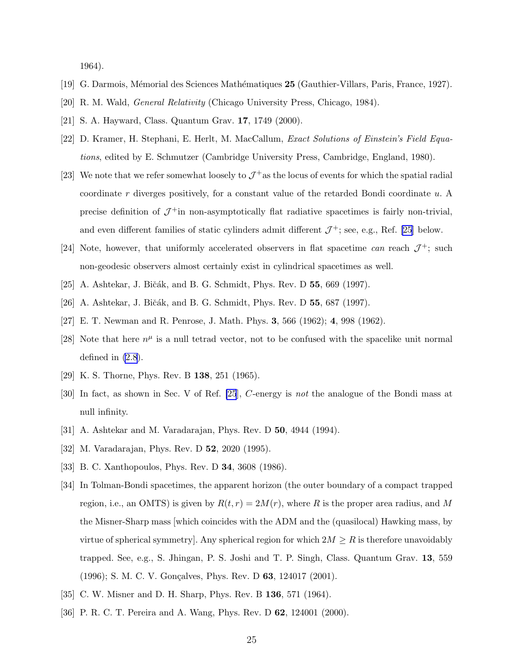1964).

- <span id="page-24-0"></span>[19] G. Darmois, M´emorial des Sciences Math´ematiques 25 (Gauthier-Villars, Paris, France, 1927).
- [20] R. M. Wald, General Relativity (Chicago University Press, Chicago, 1984).
- [21] S. A. Hayward, Class. Quantum Grav. 17, 1749 (2000).
- [22] D. Kramer, H. Stephani, E. Herlt, M. MacCallum, Exact Solutions of Einstein's Field Equations, edited by E. Schmutzer (Cambridge University Press, Cambridge, England, 1980).
- [23] We note that we refer somewhat loosely to  $\mathcal{J}^+$  as the locus of events for which the spatial radial coordinate  $r$  diverges positively, for a constant value of the retarded Bondi coordinate  $u$ . A precise definition of  $\mathcal{J}^+$  in non-asymptotically flat radiative spacetimes is fairly non-trivial, and even different families of static cylinders admit different  $\mathcal{J}^+$ ; see, e.g., Ref. [25] below.
- [24] Note, however, that uniformly accelerated observers in flat spacetime can reach  $\mathcal{J}^+$ ; such non-geodesic observers almost certainly exist in cylindrical spacetimes as well.
- [25] A. Ashtekar, J. Bičák, and B. G. Schmidt, Phys. Rev. D 55, 669 (1997).
- [26] A. Ashtekar, J. Bičák, and B. G. Schmidt, Phys. Rev. D 55, 687 (1997).
- [27] E. T. Newman and R. Penrose, J. Math. Phys. 3, 566 (1962); 4, 998 (1962).
- [28] Note that here  $n^{\mu}$  is a null tetrad vector, not to be confused with the spacelike unit normal defined in [\(2.8](#page-3-0)).
- [29] K. S. Thorne, Phys. Rev. B **138**, 251 (1965).
- [30] In fact, as shown in Sec. V of Ref. [25], C-energy is not the analogue of the Bondi mass at null infinity.
- [31] A. Ashtekar and M. Varadarajan, Phys. Rev. D 50, 4944 (1994).
- [32] M. Varadarajan, Phys. Rev. D 52, 2020 (1995).
- [33] B. C. Xanthopoulos, Phys. Rev. D 34, 3608 (1986).
- [34] In Tolman-Bondi spacetimes, the apparent horizon (the outer boundary of a compact trapped region, i.e., an OMTS) is given by  $R(t, r) = 2M(r)$ , where R is the proper area radius, and M the Misner-Sharp mass [which coincides with the ADM and the (quasilocal) Hawking mass, by virtue of spherical symmetry]. Any spherical region for which  $2M \geq R$  is therefore unavoidably trapped. See, e.g., S. Jhingan, P. S. Joshi and T. P. Singh, Class. Quantum Grav. 13, 559 (1996); S. M. C. V. Gonçalves, Phys. Rev. D 63, 124017 (2001).
- [35] C. W. Misner and D. H. Sharp, Phys. Rev. B 136, 571 (1964).
- [36] P. R. C. T. Pereira and A. Wang, Phys. Rev. D 62, 124001 (2000).